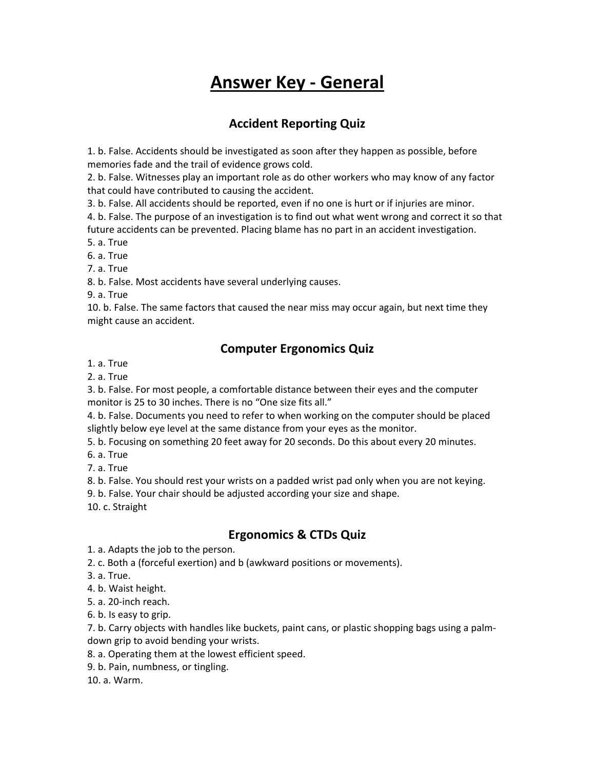# **Answer Key - General**

## **Accident Reporting Quiz**

1. b. False. Accidents should be investigated as soon after they happen as possible, before memories fade and the trail of evidence grows cold.

2. b. False. Witnesses play an important role as do other workers who may know of any factor that could have contributed to causing the accident.

3. b. False. All accidents should be reported, even if no one is hurt or if injuries are minor.

4. b. False. The purpose of an investigation is to find out what went wrong and correct it so that future accidents can be prevented. Placing blame has no part in an accident investigation.

5. a. True

6. a. True

7. a. True

8. b. False. Most accidents have several underlying causes.

9. a. True

10. b. False. The same factors that caused the near miss may occur again, but next time they might cause an accident.

## **Computer Ergonomics Quiz**

1. a. True

2. a. True

3. b. False. For most people, a comfortable distance between their eyes and the computer monitor is 25 to 30 inches. There is no "One size fits all."

4. b. False. Documents you need to refer to when working on the computer should be placed slightly below eye level at the same distance from your eyes as the monitor.

5. b. Focusing on something 20 feet away for 20 seconds. Do this about every 20 minutes.

6. a. True

7. a. True

8. b. False. You should rest your wrists on a padded wrist pad only when you are not keying.

9. b. False. Your chair should be adjusted according your size and shape.

10. c. Straight

# **Ergonomics & CTDs Quiz**

1. a. Adapts the job to the person.

2. c. Both a (forceful exertion) and b (awkward positions or movements).

3. a. True.

4. b. Waist height.

5. a. 20-inch reach.

6. b. Is easy to grip.

7. b. Carry objects with handles like buckets, paint cans, or plastic shopping bags using a palmdown grip to avoid bending your wrists.

8. a. Operating them at the lowest efficient speed.

9. b. Pain, numbness, or tingling.

10. a. Warm.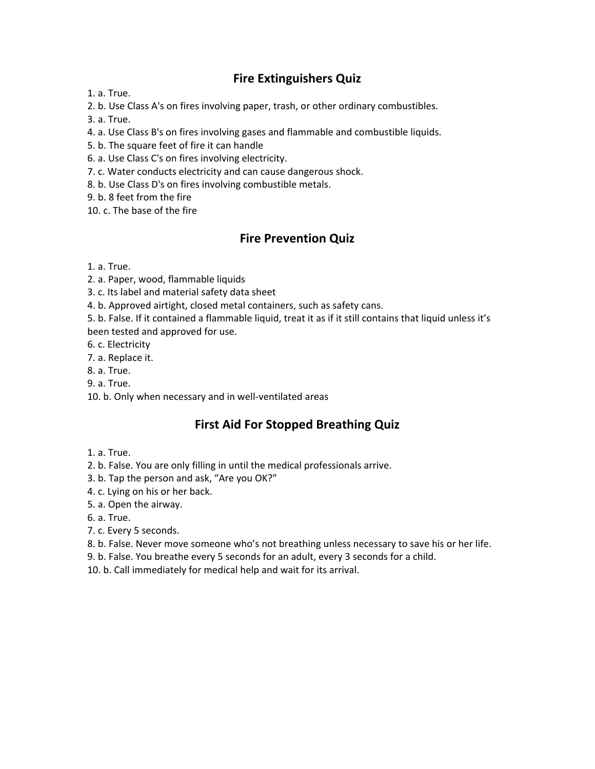### **Fire Extinguishers Quiz**

1. a. True.

2. b. Use Class A's on fires involving paper, trash, or other ordinary combustibles.

3. a. True.

4. a. Use Class B's on fires involving gases and flammable and combustible liquids.

- 5. b. The square feet of fire it can handle
- 6. a. Use Class C's on fires involving electricity.
- 7. c. Water conducts electricity and can cause dangerous shock.
- 8. b. Use Class D's on fires involving combustible metals.
- 9. b. 8 feet from the fire
- 10. c. The base of the fire

#### **Fire Prevention Quiz**

- 1. a. True.
- 2. a. Paper, wood, flammable liquids
- 3. c. Its label and material safety data sheet
- 4. b. Approved airtight, closed metal containers, such as safety cans.
- 5. b. False. If it contained a flammable liquid, treat it as if it still contains that liquid unless it's been tested and approved for use.
- 
- 6. c. Electricity
- 7. a. Replace it.
- 8. a. True.
- 9. a. True.
- 10. b. Only when necessary and in well-ventilated areas

#### **First Aid For Stopped Breathing Quiz**

- 1. a. True.
- 2. b. False. You are only filling in until the medical professionals arrive.
- 3. b. Tap the person and ask, "Are you OK?"
- 4. c. Lying on his or her back.
- 5. a. Open the airway.
- 6. a. True.
- 7. c. Every 5 seconds.
- 8. b. False. Never move someone who's not breathing unless necessary to save his or her life.
- 9. b. False. You breathe every 5 seconds for an adult, every 3 seconds for a child.
- 10. b. Call immediately for medical help and wait for its arrival.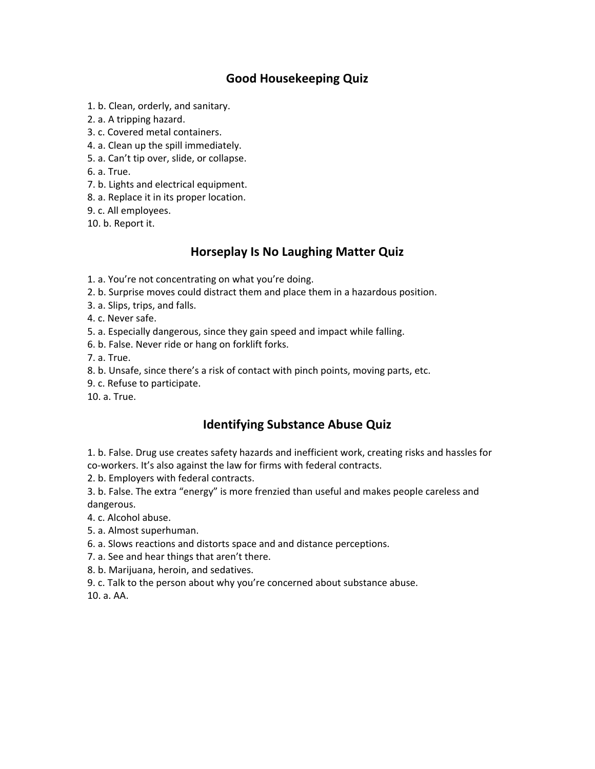# **Good Housekeeping Quiz**

- 1. b. Clean, orderly, and sanitary.
- 2. a. A tripping hazard.
- 3. c. Covered metal containers.
- 4. a. Clean up the spill immediately.
- 5. a. Can't tip over, slide, or collapse.
- 6. a. True.
- 7. b. Lights and electrical equipment.
- 8. a. Replace it in its proper location.
- 9. c. All employees.
- 10. b. Report it.

#### **Horseplay Is No Laughing Matter Quiz**

- 1. a. You're not concentrating on what you're doing.
- 2. b. Surprise moves could distract them and place them in a hazardous position.
- 3. a. Slips, trips, and falls.
- 4. c. Never safe.
- 5. a. Especially dangerous, since they gain speed and impact while falling.
- 6. b. False. Never ride or hang on forklift forks.
- 7. a. True.
- 8. b. Unsafe, since there's a risk of contact with pinch points, moving parts, etc.
- 9. c. Refuse to participate.
- 10. a. True.

#### **Identifying Substance Abuse Quiz**

1. b. False. Drug use creates safety hazards and inefficient work, creating risks and hassles for co-workers. It's also against the law for firms with federal contracts.

2. b. Employers with federal contracts.

3. b. False. The extra "energy" is more frenzied than useful and makes people careless and dangerous.

- 4. c. Alcohol abuse.
- 5. a. Almost superhuman.
- 6. a. Slows reactions and distorts space and and distance perceptions.
- 7. a. See and hear things that aren't there.
- 8. b. Marijuana, heroin, and sedatives.
- 9. c. Talk to the person about why you're concerned about substance abuse.

10. a. AA.